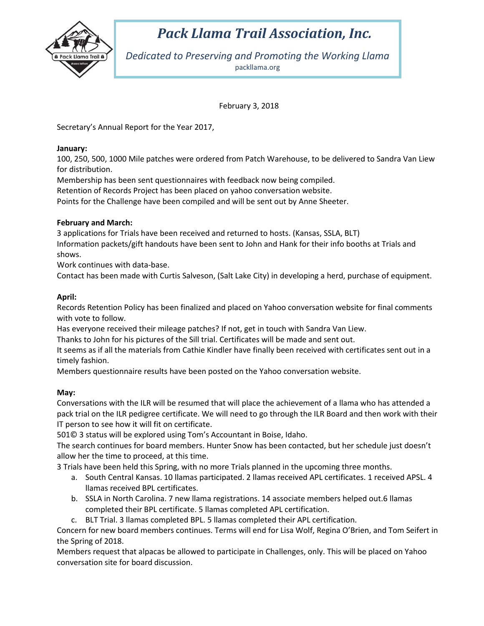

## *Pack Llama Trail Association, Inc.*

*Dedicated to Preserving and Promoting the Working Llama* packllama.org

February 3, 2018

Secretary's Annual Report for the Year 2017,

### **January:**

100, 250, 500, 1000 Mile patches were ordered from Patch Warehouse, to be delivered to Sandra Van Liew for distribution.

Membership has been sent questionnaires with feedback now being compiled.

Retention of Records Project has been placed on yahoo conversation website.

Points for the Challenge have been compiled and will be sent out by Anne Sheeter.

## **February and March:**

3 applications for Trials have been received and returned to hosts. (Kansas, SSLA, BLT) Information packets/gift handouts have been sent to John and Hank for their info booths at Trials and shows.

Work continues with data-base.

Contact has been made with Curtis Salveson, (Salt Lake City) in developing a herd, purchase of equipment.

## **April:**

Records Retention Policy has been finalized and placed on Yahoo conversation website for final comments with vote to follow.

Has everyone received their mileage patches? If not, get in touch with Sandra Van Liew.

Thanks to John for his pictures of the Sill trial. Certificates will be made and sent out.

It seems as if all the materials from Cathie Kindler have finally been received with certificates sent out in a timely fashion.

Members questionnaire results have been posted on the Yahoo conversation website.

## **May:**

Conversations with the ILR will be resumed that will place the achievement of a llama who has attended a pack trial on the ILR pedigree certificate. We will need to go through the ILR Board and then work with their IT person to see how it will fit on certificate.

501© 3 status will be explored using Tom's Accountant in Boise, Idaho.

The search continues for board members. Hunter Snow has been contacted, but her schedule just doesn't allow her the time to proceed, at this time.

3 Trials have been held this Spring, with no more Trials planned in the upcoming three months.

- a. South Central Kansas. 10 llamas participated. 2 llamas received APL certificates. 1 received APSL. 4 llamas received BPL certificates.
- b. SSLA in North Carolina. 7 new llama registrations. 14 associate members helped out.6 llamas completed their BPL certificate. 5 llamas completed APL certification.
- c. BLT Trial. 3 llamas completed BPL. 5 llamas completed their APL certification.

Concern for new board members continues. Terms will end for Lisa Wolf, Regina O'Brien, and Tom Seifert in the Spring of 2018.

Members request that alpacas be allowed to participate in Challenges, only. This will be placed on Yahoo conversation site for board discussion.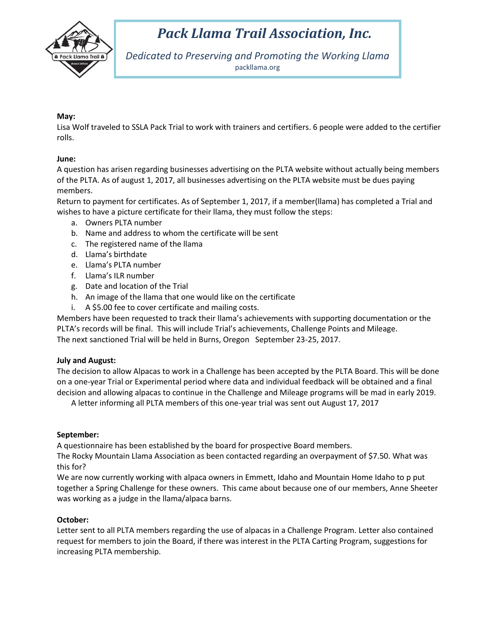

# *Pack Llama Trail Association, Inc.*

*Dedicated to Preserving and Promoting the Working Llama* packllama.org

### **May:**

Lisa Wolf traveled to SSLA Pack Trial to work with trainers and certifiers. 6 people were added to the certifier rolls.

#### **June:**

A question has arisen regarding businesses advertising on the PLTA website without actually being members of the PLTA. As of august 1, 2017, all businesses advertising on the PLTA website must be dues paying members.

Return to payment for certificates. As of September 1, 2017, if a member(llama) has completed a Trial and wishes to have a picture certificate for their llama, they must follow the steps:

- a. Owners PLTA number
- b. Name and address to whom the certificate will be sent
- c. The registered name of the llama
- d. Llama's birthdate
- e. Llama's PLTA number
- f. Llama's ILR number
- g. Date and location of the Trial
- h. An image of the llama that one would like on the certificate
- i. A \$5.00 fee to cover certificate and mailing costs.

Members have been requested to track their llama's achievements with supporting documentation or the PLTA's records will be final. This will include Trial's achievements, Challenge Points and Mileage. The next sanctioned Trial will be held in Burns, Oregon September 23-25, 2017.

#### **July and August:**

The decision to allow Alpacas to work in a Challenge has been accepted by the PLTA Board. This will be done on a one-year Trial or Experimental period where data and individual feedback will be obtained and a final decision and allowing alpacas to continue in the Challenge and Mileage programs will be mad in early 2019.

A letter informing all PLTA members of this one-year trial was sent out August 17, 2017

#### **September:**

A questionnaire has been established by the board for prospective Board members.

The Rocky Mountain Llama Association as been contacted regarding an overpayment of \$7.50. What was this for?

We are now currently working with alpaca owners in Emmett, Idaho and Mountain Home Idaho to p put together a Spring Challenge for these owners. This came about because one of our members, Anne Sheeter was working as a judge in the llama/alpaca barns.

#### **October:**

Letter sent to all PLTA members regarding the use of alpacas in a Challenge Program. Letter also contained request for members to join the Board, if there was interest in the PLTA Carting Program, suggestions for increasing PLTA membership.